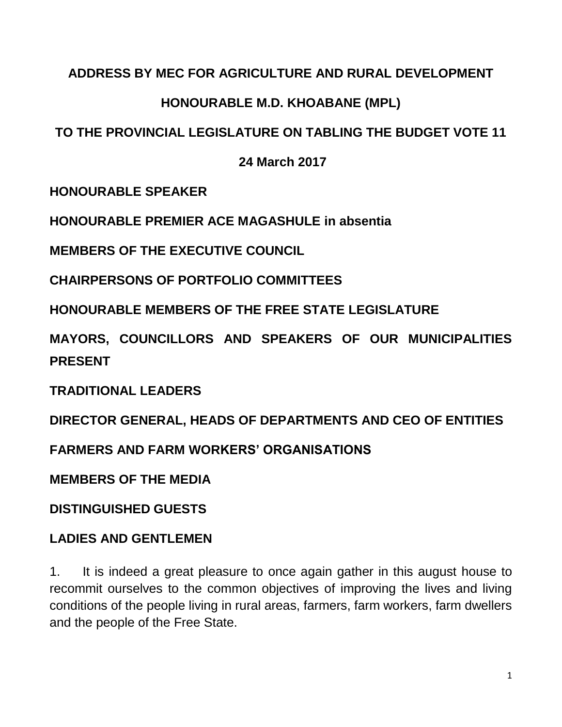#### **ADDRESS BY MEC FOR AGRICULTURE AND RURAL DEVELOPMENT**

# **HONOURABLE M.D. KHOABANE (MPL)**

# **TO THE PROVINCIAL LEGISLATURE ON TABLING THE BUDGET VOTE 11**

#### **24 March 2017**

**HONOURABLE SPEAKER** 

**HONOURABLE PREMIER ACE MAGASHULE in absentia**

**MEMBERS OF THE EXECUTIVE COUNCIL**

**CHAIRPERSONS OF PORTFOLIO COMMITTEES**

**HONOURABLE MEMBERS OF THE FREE STATE LEGISLATURE**

**MAYORS, COUNCILLORS AND SPEAKERS OF OUR MUNICIPALITIES PRESENT**

**TRADITIONAL LEADERS**

**DIRECTOR GENERAL, HEADS OF DEPARTMENTS AND CEO OF ENTITIES**

**FARMERS AND FARM WORKERS' ORGANISATIONS**

**MEMBERS OF THE MEDIA**

**DISTINGUISHED GUESTS**

# **LADIES AND GENTLEMEN**

1. It is indeed a great pleasure to once again gather in this august house to recommit ourselves to the common objectives of improving the lives and living conditions of the people living in rural areas, farmers, farm workers, farm dwellers and the people of the Free State.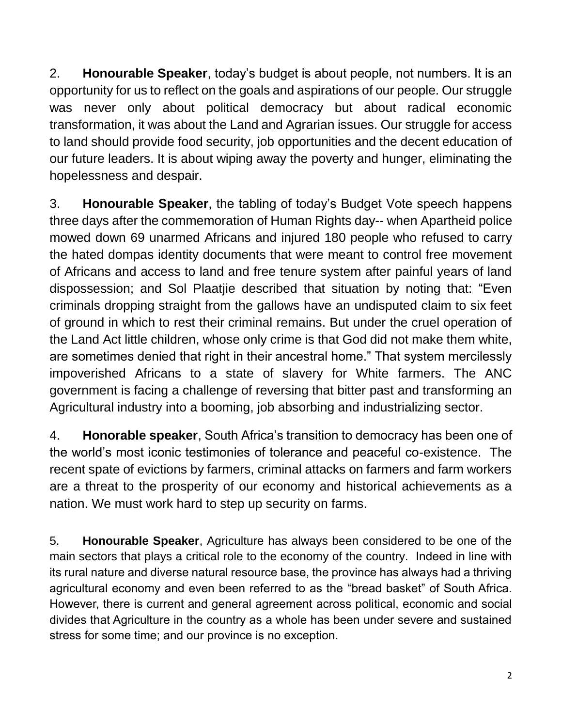2. **Honourable Speaker**, today's budget is about people, not numbers. It is an opportunity for us to reflect on the goals and aspirations of our people. Our struggle was never only about political democracy but about radical economic transformation, it was about the Land and Agrarian issues. Our struggle for access to land should provide food security, job opportunities and the decent education of our future leaders. It is about wiping away the poverty and hunger, eliminating the hopelessness and despair.

3. **Honourable Speaker**, the tabling of today's Budget Vote speech happens three days after the commemoration of Human Rights day-- when Apartheid police mowed down 69 unarmed Africans and injured 180 people who refused to carry the hated dompas identity documents that were meant to control free movement of Africans and access to land and free tenure system after painful years of land dispossession; and Sol Plaatjie described that situation by noting that: "Even criminals dropping straight from the gallows have an undisputed claim to six feet of ground in which to rest their criminal remains. But under the cruel operation of the Land Act little children, whose only crime is that God did not make them white, are sometimes denied that right in their ancestral home." That system mercilessly impoverished Africans to a state of slavery for White farmers. The ANC government is facing a challenge of reversing that bitter past and transforming an Agricultural industry into a booming, job absorbing and industrializing sector.

4. **Honorable speaker**, South Africa's transition to democracy has been one of the world's most iconic testimonies of tolerance and peaceful co-existence. The recent spate of evictions by farmers, criminal attacks on farmers and farm workers are a threat to the prosperity of our economy and historical achievements as a nation. We must work hard to step up security on farms.

5. **Honourable Speaker**, Agriculture has always been considered to be one of the main sectors that plays a critical role to the economy of the country. Indeed in line with its rural nature and diverse natural resource base, the province has always had a thriving agricultural economy and even been referred to as the "bread basket" of South Africa. However, there is current and general agreement across political, economic and social divides that Agriculture in the country as a whole has been under severe and sustained stress for some time; and our province is no exception.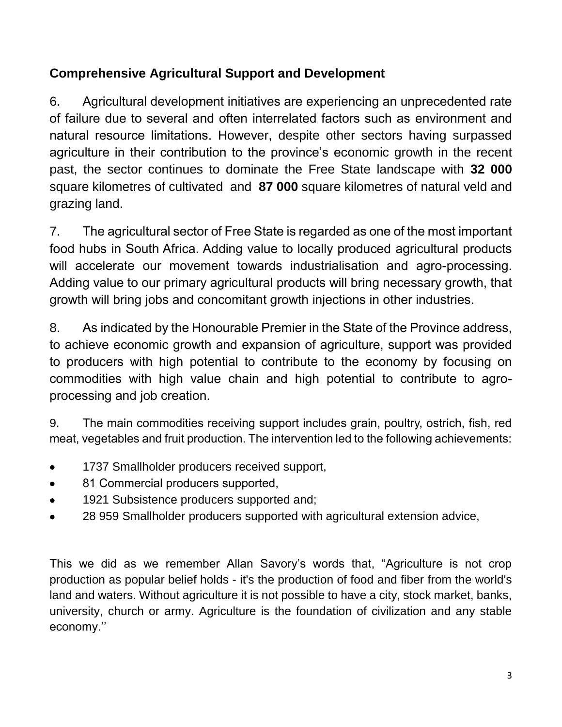# **Comprehensive Agricultural Support and Development**

6. Agricultural development initiatives are experiencing an unprecedented rate of failure due to several and often interrelated factors such as environment and natural resource limitations. However, despite other sectors having surpassed agriculture in their contribution to the province's economic growth in the recent past, the sector continues to dominate the Free State landscape with **32 000** square kilometres of cultivated and **87 000** square kilometres of natural veld and grazing land.

7. The agricultural sector of Free State is regarded as one of the most important food hubs in South Africa. Adding value to locally produced agricultural products will accelerate our movement towards industrialisation and agro-processing. Adding value to our primary agricultural products will bring necessary growth, that growth will bring jobs and concomitant growth injections in other industries.

8. As indicated by the Honourable Premier in the State of the Province address, to achieve economic growth and expansion of agriculture, support was provided to producers with high potential to contribute to the economy by focusing on commodities with high value chain and high potential to contribute to agroprocessing and job creation.

9. The main commodities receiving support includes grain, poultry, ostrich, fish, red meat, vegetables and fruit production. The intervention led to the following achievements:

- 1737 Smallholder producers received support,
- 81 Commercial producers supported,
- 1921 Subsistence producers supported and;
- 28 959 Smallholder producers supported with agricultural extension advice,

This we did as we remember Allan Savory's words that, "Agriculture is not crop production as popular belief holds - it's the production of food and fiber from the world's land and waters. Without agriculture it is not possible to have a city, stock market, banks, university, church or army. Agriculture is the foundation of civilization and any stable economy.''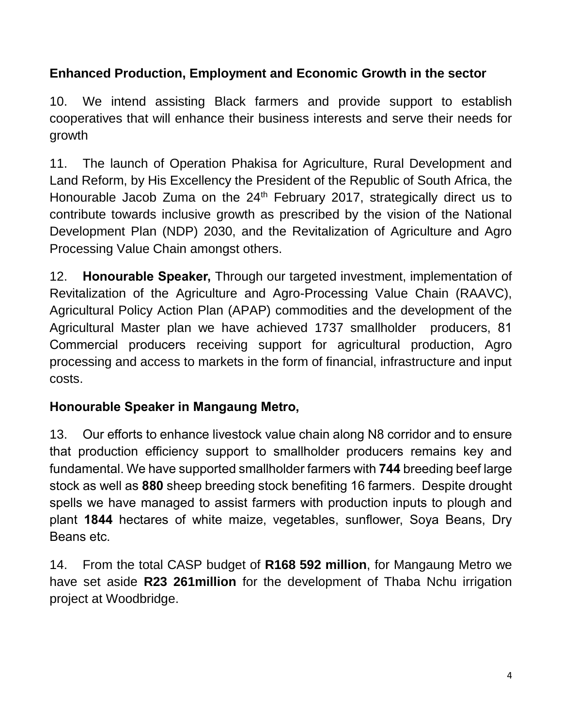# **Enhanced Production, Employment and Economic Growth in the sector**

10. We intend assisting Black farmers and provide support to establish cooperatives that will enhance their business interests and serve their needs for growth

11. The launch of Operation Phakisa for Agriculture, Rural Development and Land Reform, by His Excellency the President of the Republic of South Africa, the Honourable Jacob Zuma on the  $24<sup>th</sup>$  February 2017, strategically direct us to contribute towards inclusive growth as prescribed by the vision of the National Development Plan (NDP) 2030, and the Revitalization of Agriculture and Agro Processing Value Chain amongst others.

12. **Honourable Speaker,** Through our targeted investment, implementation of Revitalization of the Agriculture and Agro-Processing Value Chain (RAAVC), Agricultural Policy Action Plan (APAP) commodities and the development of the Agricultural Master plan we have achieved 1737 smallholder producers, 81 Commercial producers receiving support for agricultural production, Agro processing and access to markets in the form of financial, infrastructure and input costs.

### **Honourable Speaker in Mangaung Metro,**

13. Our efforts to enhance livestock value chain along N8 corridor and to ensure that production efficiency support to smallholder producers remains key and fundamental. We have supported smallholder farmers with **744** breeding beef large stock as well as **880** sheep breeding stock benefiting 16 farmers. Despite drought spells we have managed to assist farmers with production inputs to plough and plant **1844** hectares of white maize, vegetables, sunflower, Soya Beans, Dry Beans etc.

14. From the total CASP budget of **R168 592 million**, for Mangaung Metro we have set aside **R23 261million** for the development of Thaba Nchu irrigation project at Woodbridge.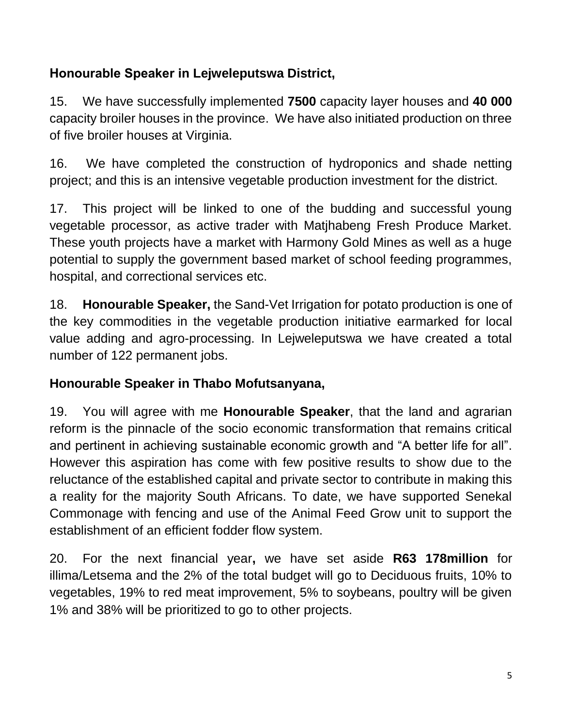# **Honourable Speaker in Lejweleputswa District,**

15. We have successfully implemented **7500** capacity layer houses and **40 000** capacity broiler houses in the province. We have also initiated production on three of five broiler houses at Virginia.

16. We have completed the construction of hydroponics and shade netting project; and this is an intensive vegetable production investment for the district.

17. This project will be linked to one of the budding and successful young vegetable processor, as active trader with Matjhabeng Fresh Produce Market. These youth projects have a market with Harmony Gold Mines as well as a huge potential to supply the government based market of school feeding programmes, hospital, and correctional services etc.

18. **Honourable Speaker,** the Sand-Vet Irrigation for potato production is one of the key commodities in the vegetable production initiative earmarked for local value adding and agro-processing. In Lejweleputswa we have created a total number of 122 permanent jobs.

# **Honourable Speaker in Thabo Mofutsanyana,**

19. You will agree with me **Honourable Speaker**, that the land and agrarian reform is the pinnacle of the socio economic transformation that remains critical and pertinent in achieving sustainable economic growth and "A better life for all". However this aspiration has come with few positive results to show due to the reluctance of the established capital and private sector to contribute in making this a reality for the majority South Africans. To date, we have supported Senekal Commonage with fencing and use of the Animal Feed Grow unit to support the establishment of an efficient fodder flow system.

20. For the next financial year**,** we have set aside **R63 178million** for illima/Letsema and the 2% of the total budget will go to Deciduous fruits, 10% to vegetables, 19% to red meat improvement, 5% to soybeans, poultry will be given 1% and 38% will be prioritized to go to other projects.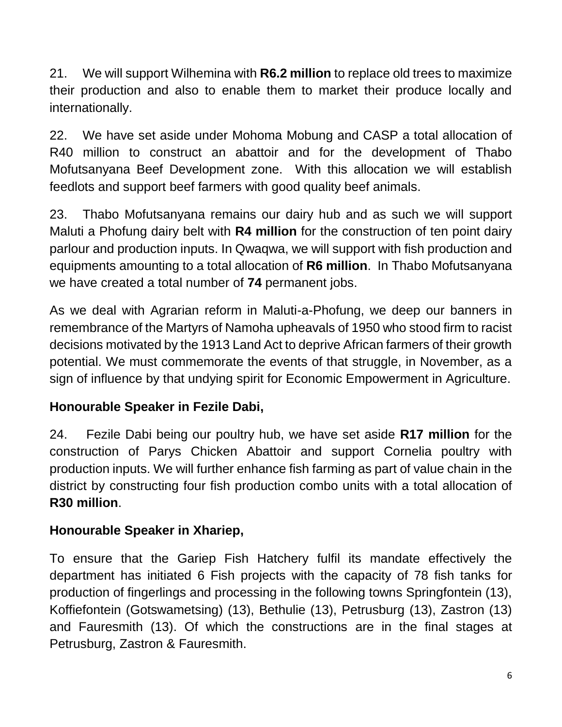21. We will support Wilhemina with **R6.2 million** to replace old trees to maximize their production and also to enable them to market their produce locally and internationally.

22. We have set aside under Mohoma Mobung and CASP a total allocation of R40 million to construct an abattoir and for the development of Thabo Mofutsanyana Beef Development zone. With this allocation we will establish feedlots and support beef farmers with good quality beef animals.

23. Thabo Mofutsanyana remains our dairy hub and as such we will support Maluti a Phofung dairy belt with **R4 million** for the construction of ten point dairy parlour and production inputs. In Qwaqwa, we will support with fish production and equipments amounting to a total allocation of **R6 million**. In Thabo Mofutsanyana we have created a total number of **74** permanent jobs.

As we deal with Agrarian reform in Maluti-a-Phofung, we deep our banners in remembrance of the Martyrs of Namoha upheavals of 1950 who stood firm to racist decisions motivated by the 1913 Land Act to deprive African farmers of their growth potential. We must commemorate the events of that struggle, in November, as a sign of influence by that undying spirit for Economic Empowerment in Agriculture.

### **Honourable Speaker in Fezile Dabi,**

24. Fezile Dabi being our poultry hub, we have set aside **R17 million** for the construction of Parys Chicken Abattoir and support Cornelia poultry with production inputs. We will further enhance fish farming as part of value chain in the district by constructing four fish production combo units with a total allocation of **R30 million**.

### **Honourable Speaker in Xhariep,**

To ensure that the Gariep Fish Hatchery fulfil its mandate effectively the department has initiated 6 Fish projects with the capacity of 78 fish tanks for production of fingerlings and processing in the following towns Springfontein (13), Koffiefontein (Gotswametsing) (13), Bethulie (13), Petrusburg (13), Zastron (13) and Fauresmith (13). Of which the constructions are in the final stages at Petrusburg, Zastron & Fauresmith.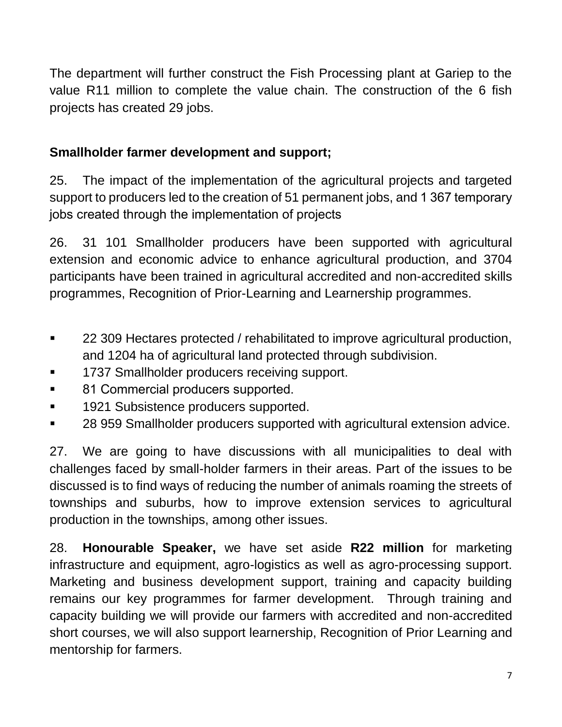The department will further construct the Fish Processing plant at Gariep to the value R11 million to complete the value chain. The construction of the 6 fish projects has created 29 jobs.

# **Smallholder farmer development and support;**

25. The impact of the implementation of the agricultural projects and targeted support to producers led to the creation of 51 permanent jobs, and 1 367 temporary jobs created through the implementation of projects

26. 31 101 Smallholder producers have been supported with agricultural extension and economic advice to enhance agricultural production, and 3704 participants have been trained in agricultural accredited and non-accredited skills programmes, Recognition of Prior-Learning and Learnership programmes.

- 22 309 Hectares protected / rehabilitated to improve agricultural production, and 1204 ha of agricultural land protected through subdivision.
- 1737 Smallholder producers receiving support.
- 81 Commercial producers supported.
- 1921 Subsistence producers supported.
- 28 959 Smallholder producers supported with agricultural extension advice.

27. We are going to have discussions with all municipalities to deal with challenges faced by small-holder farmers in their areas. Part of the issues to be discussed is to find ways of reducing the number of animals roaming the streets of townships and suburbs, how to improve extension services to agricultural production in the townships, among other issues.

28. **Honourable Speaker,** we have set aside **R22 million** for marketing infrastructure and equipment, agro-logistics as well as agro-processing support. Marketing and business development support, training and capacity building remains our key programmes for farmer development. Through training and capacity building we will provide our farmers with accredited and non-accredited short courses, we will also support learnership, Recognition of Prior Learning and mentorship for farmers.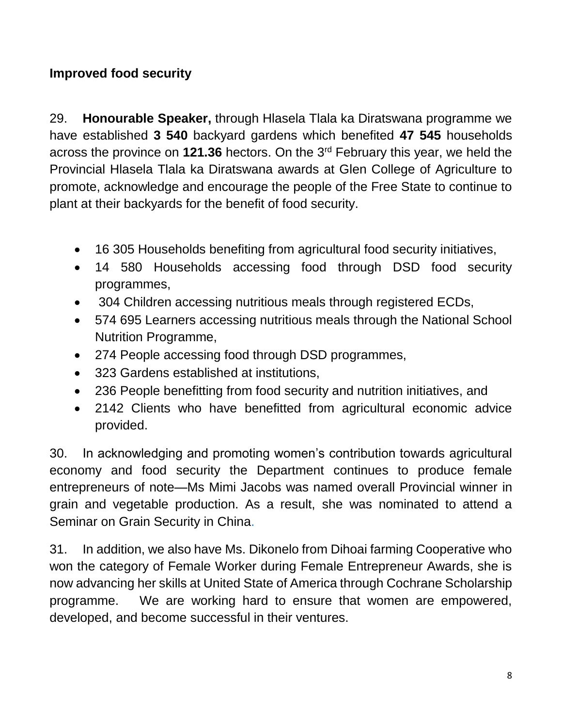### **Improved food security**

29. **Honourable Speaker,** through Hlasela Tlala ka Diratswana programme we have established **3 540** backyard gardens which benefited **47 545** households across the province on **121.36** hectors. On the 3rd February this year, we held the Provincial Hlasela Tlala ka Diratswana awards at Glen College of Agriculture to promote, acknowledge and encourage the people of the Free State to continue to plant at their backyards for the benefit of food security.

- 16 305 Households benefiting from agricultural food security initiatives,
- 14 580 Households accessing food through DSD food security programmes,
- 304 Children accessing nutritious meals through registered ECDs,
- 574 695 Learners accessing nutritious meals through the National School Nutrition Programme,
- 274 People accessing food through DSD programmes,
- 323 Gardens established at institutions,
- 236 People benefitting from food security and nutrition initiatives, and
- 2142 Clients who have benefitted from agricultural economic advice provided.

30. In acknowledging and promoting women's contribution towards agricultural economy and food security the Department continues to produce female entrepreneurs of note—Ms Mimi Jacobs was named overall Provincial winner in grain and vegetable production. As a result, she was nominated to attend a Seminar on Grain Security in China.

31. In addition, we also have Ms. Dikonelo from Dihoai farming Cooperative who won the category of Female Worker during Female Entrepreneur Awards, she is now advancing her skills at United State of America through Cochrane Scholarship programme. We are working hard to ensure that women are empowered, developed, and become successful in their ventures.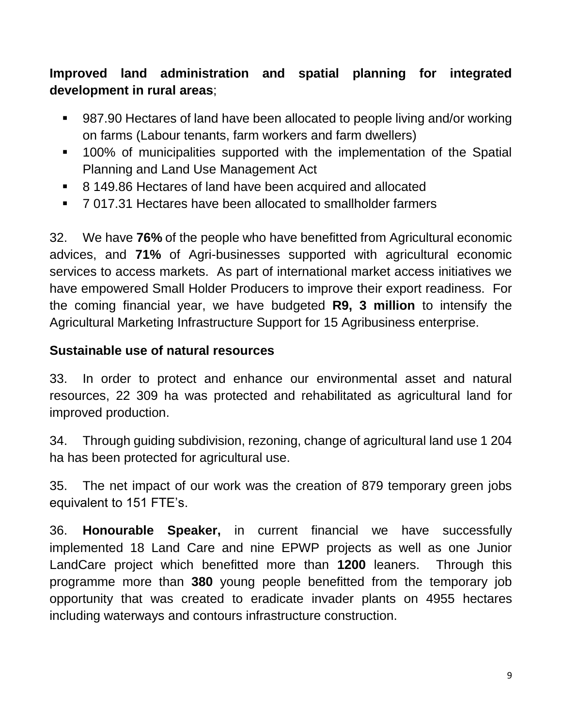**Improved land administration and spatial planning for integrated development in rural areas**;

- 987.90 Hectares of land have been allocated to people living and/or working on farms (Labour tenants, farm workers and farm dwellers)
- 100% of municipalities supported with the implementation of the Spatial Planning and Land Use Management Act
- 8 149.86 Hectares of land have been acquired and allocated
- 7 017.31 Hectares have been allocated to smallholder farmers

32. We have **76%** of the people who have benefitted from Agricultural economic advices, and **71%** of Agri-businesses supported with agricultural economic services to access markets. As part of international market access initiatives we have empowered Small Holder Producers to improve their export readiness. For the coming financial year, we have budgeted **R9, 3 million** to intensify the Agricultural Marketing Infrastructure Support for 15 Agribusiness enterprise.

#### **Sustainable use of natural resources**

33. In order to protect and enhance our environmental asset and natural resources, 22 309 ha was protected and rehabilitated as agricultural land for improved production.

34. Through guiding subdivision, rezoning, change of agricultural land use 1 204 ha has been protected for agricultural use.

35. The net impact of our work was the creation of 879 temporary green jobs equivalent to 151 FTE's.

36. **Honourable Speaker,** in current financial we have successfully implemented 18 Land Care and nine EPWP projects as well as one Junior LandCare project which benefitted more than **1200** leaners. Through this programme more than **380** young people benefitted from the temporary job opportunity that was created to eradicate invader plants on 4955 hectares including waterways and contours infrastructure construction.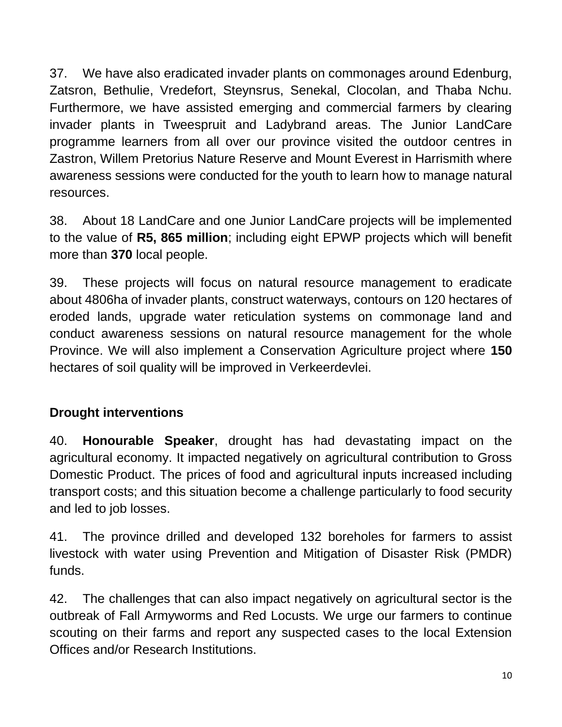37. We have also eradicated invader plants on commonages around Edenburg, Zatsron, Bethulie, Vredefort, Steynsrus, Senekal, Clocolan, and Thaba Nchu. Furthermore, we have assisted emerging and commercial farmers by clearing invader plants in Tweespruit and Ladybrand areas. The Junior LandCare programme learners from all over our province visited the outdoor centres in Zastron, Willem Pretorius Nature Reserve and Mount Everest in Harrismith where awareness sessions were conducted for the youth to learn how to manage natural resources.

38. About 18 LandCare and one Junior LandCare projects will be implemented to the value of **R5, 865 million**; including eight EPWP projects which will benefit more than **370** local people.

39. These projects will focus on natural resource management to eradicate about 4806ha of invader plants, construct waterways, contours on 120 hectares of eroded lands, upgrade water reticulation systems on commonage land and conduct awareness sessions on natural resource management for the whole Province. We will also implement a Conservation Agriculture project where **150** hectares of soil quality will be improved in Verkeerdevlei.

### **Drought interventions**

40. **Honourable Speaker**, drought has had devastating impact on the agricultural economy. It impacted negatively on agricultural contribution to Gross Domestic Product. The prices of food and agricultural inputs increased including transport costs; and this situation become a challenge particularly to food security and led to job losses.

41. The province drilled and developed 132 boreholes for farmers to assist livestock with water using Prevention and Mitigation of Disaster Risk (PMDR) funds.

42. The challenges that can also impact negatively on agricultural sector is the outbreak of Fall Armyworms and Red Locusts. We urge our farmers to continue scouting on their farms and report any suspected cases to the local Extension Offices and/or Research Institutions.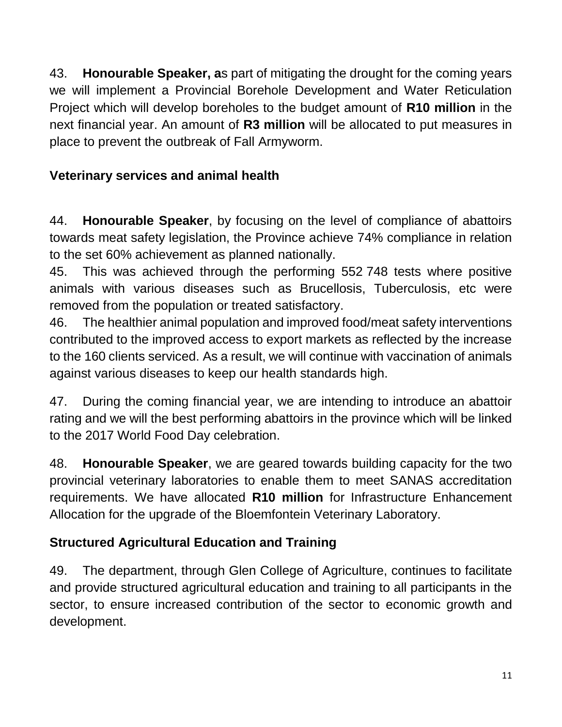43. **Honourable Speaker, a**s part of mitigating the drought for the coming years we will implement a Provincial Borehole Development and Water Reticulation Project which will develop boreholes to the budget amount of **R10 million** in the next financial year. An amount of **R3 million** will be allocated to put measures in place to prevent the outbreak of Fall Armyworm.

# **Veterinary services and animal health**

44. **Honourable Speaker**, by focusing on the level of compliance of abattoirs towards meat safety legislation, the Province achieve 74% compliance in relation to the set 60% achievement as planned nationally.

45. This was achieved through the performing 552 748 tests where positive animals with various diseases such as Brucellosis, Tuberculosis, etc were removed from the population or treated satisfactory.

46. The healthier animal population and improved food/meat safety interventions contributed to the improved access to export markets as reflected by the increase to the 160 clients serviced. As a result, we will continue with vaccination of animals against various diseases to keep our health standards high.

47. During the coming financial year, we are intending to introduce an abattoir rating and we will the best performing abattoirs in the province which will be linked to the 2017 World Food Day celebration.

48. **Honourable Speaker**, we are geared towards building capacity for the two provincial veterinary laboratories to enable them to meet SANAS accreditation requirements. We have allocated **R10 million** for Infrastructure Enhancement Allocation for the upgrade of the Bloemfontein Veterinary Laboratory.

# **Structured Agricultural Education and Training**

49. The department, through Glen College of Agriculture, continues to facilitate and provide structured agricultural education and training to all participants in the sector, to ensure increased contribution of the sector to economic growth and development.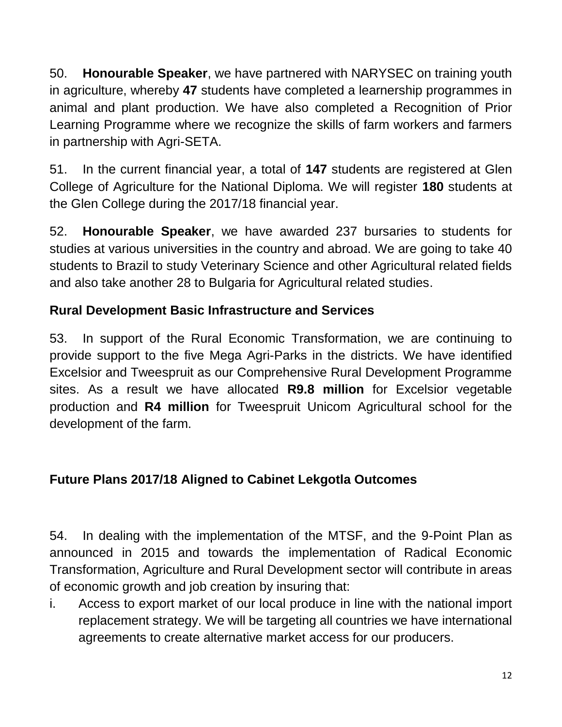50. **Honourable Speaker**, we have partnered with NARYSEC on training youth in agriculture, whereby **47** students have completed a learnership programmes in animal and plant production. We have also completed a Recognition of Prior Learning Programme where we recognize the skills of farm workers and farmers in partnership with Agri-SETA.

51. In the current financial year, a total of **147** students are registered at Glen College of Agriculture for the National Diploma. We will register **180** students at the Glen College during the 2017/18 financial year.

52. **Honourable Speaker**, we have awarded 237 bursaries to students for studies at various universities in the country and abroad. We are going to take 40 students to Brazil to study Veterinary Science and other Agricultural related fields and also take another 28 to Bulgaria for Agricultural related studies.

### **Rural Development Basic Infrastructure and Services**

53. In support of the Rural Economic Transformation, we are continuing to provide support to the five Mega Agri-Parks in the districts. We have identified Excelsior and Tweespruit as our Comprehensive Rural Development Programme sites. As a result we have allocated **R9.8 million** for Excelsior vegetable production and **R4 million** for Tweespruit Unicom Agricultural school for the development of the farm.

### **Future Plans 2017/18 Aligned to Cabinet Lekgotla Outcomes**

54. In dealing with the implementation of the MTSF, and the 9-Point Plan as announced in 2015 and towards the implementation of Radical Economic Transformation, Agriculture and Rural Development sector will contribute in areas of economic growth and job creation by insuring that:

i. Access to export market of our local produce in line with the national import replacement strategy. We will be targeting all countries we have international agreements to create alternative market access for our producers.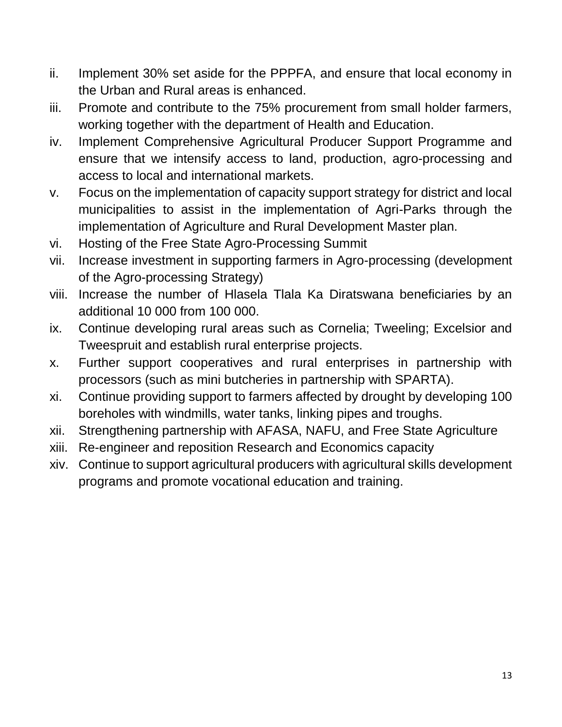- ii. Implement 30% set aside for the PPPFA, and ensure that local economy in the Urban and Rural areas is enhanced.
- iii. Promote and contribute to the 75% procurement from small holder farmers, working together with the department of Health and Education.
- iv. Implement Comprehensive Agricultural Producer Support Programme and ensure that we intensify access to land, production, agro-processing and access to local and international markets.
- v. Focus on the implementation of capacity support strategy for district and local municipalities to assist in the implementation of Agri-Parks through the implementation of Agriculture and Rural Development Master plan.
- vi. Hosting of the Free State Agro-Processing Summit
- vii. Increase investment in supporting farmers in Agro-processing (development of the Agro-processing Strategy)
- viii. Increase the number of Hlasela Tlala Ka Diratswana beneficiaries by an additional 10 000 from 100 000.
- ix. Continue developing rural areas such as Cornelia; Tweeling; Excelsior and Tweespruit and establish rural enterprise projects.
- x. Further support cooperatives and rural enterprises in partnership with processors (such as mini butcheries in partnership with SPARTA).
- xi. Continue providing support to farmers affected by drought by developing 100 boreholes with windmills, water tanks, linking pipes and troughs.
- xii. Strengthening partnership with AFASA, NAFU, and Free State Agriculture
- xiii. Re-engineer and reposition Research and Economics capacity
- xiv. Continue to support agricultural producers with agricultural skills development programs and promote vocational education and training.